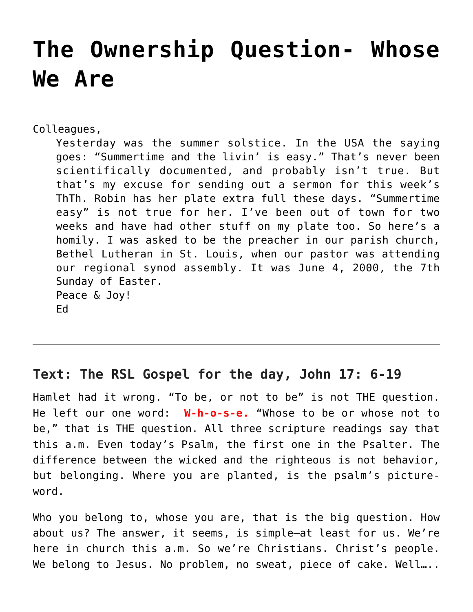# **[The Ownership Question- Whose](https://crossings.org/the-ownership-question-whose-we-are/) [We Are](https://crossings.org/the-ownership-question-whose-we-are/)**

Colleagues,

Yesterday was the summer solstice. In the USA the saying goes: "Summertime and the livin' is easy." That's never been scientifically documented, and probably isn't true. But that's my excuse for sending out a sermon for this week's ThTh. Robin has her plate extra full these days. "Summertime easy" is not true for her. I've been out of town for two weeks and have had other stuff on my plate too. So here's a homily. I was asked to be the preacher in our parish church, Bethel Lutheran in St. Louis, when our pastor was attending our regional synod assembly. It was June 4, 2000, the 7th Sunday of Easter. Peace & Joy! Ed

# **Text: The RSL Gospel for the day, John 17: 6-19**

Hamlet had it wrong. "To be, or not to be" is not THE question. He left our one word: **W-h-o-s-e.** "Whose to be or whose not to be," that is THE question. All three scripture readings say that this a.m. Even today's Psalm, the first one in the Psalter. The difference between the wicked and the righteous is not behavior, but belonging. Where you are planted, is the psalm's pictureword.

Who you belong to, whose you are, that is the big question. How about us? The answer, it seems, is simple–at least for us. We're here in church this a.m. So we're Christians. Christ's people. We belong to Jesus. No problem, no sweat, piece of cake. Well....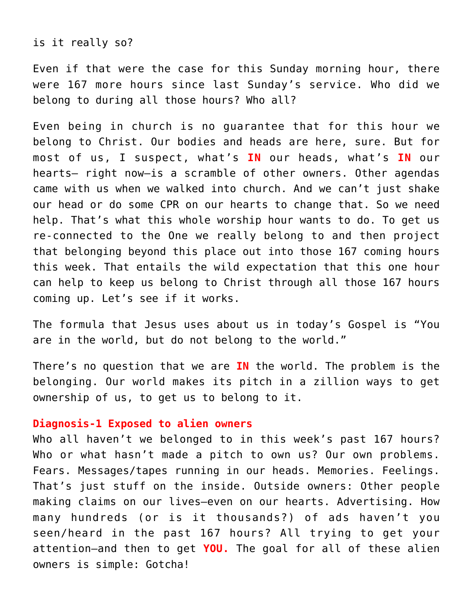is it really so?

Even if that were the case for this Sunday morning hour, there were 167 more hours since last Sunday's service. Who did we belong to during all those hours? Who all?

Even being in church is no guarantee that for this hour we belong to Christ. Our bodies and heads are here, sure. But for most of us, I suspect, what's **IN** our heads, what's **IN** our hearts– right now–is a scramble of other owners. Other agendas came with us when we walked into church. And we can't just shake our head or do some CPR on our hearts to change that. So we need help. That's what this whole worship hour wants to do. To get us re-connected to the One we really belong to and then project that belonging beyond this place out into those 167 coming hours this week. That entails the wild expectation that this one hour can help to keep us belong to Christ through all those 167 hours coming up. Let's see if it works.

The formula that Jesus uses about us in today's Gospel is "You are in the world, but do not belong to the world."

There's no question that we are **IN** the world. The problem is the belonging. Our world makes its pitch in a zillion ways to get ownership of us, to get us to belong to it.

### **Diagnosis-1 Exposed to alien owners**

Who all haven't we belonged to in this week's past 167 hours? Who or what hasn't made a pitch to own us? Our own problems. Fears. Messages/tapes running in our heads. Memories. Feelings. That's just stuff on the inside. Outside owners: Other people making claims on our lives–even on our hearts. Advertising. How many hundreds (or is it thousands?) of ads haven't you seen/heard in the past 167 hours? All trying to get your attention–and then to get **YOU.** The goal for all of these alien owners is simple: Gotcha!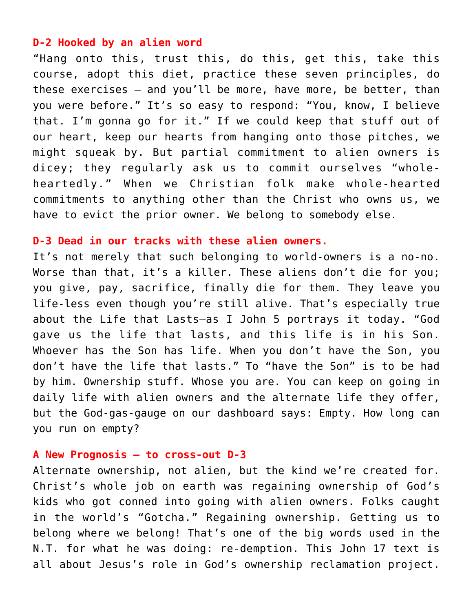# **D-2 Hooked by an alien word**

"Hang onto this, trust this, do this, get this, take this course, adopt this diet, practice these seven principles, do these exercises — and you'll be more, have more, be better, than you were before." It's so easy to respond: "You, know, I believe that. I'm gonna go for it." If we could keep that stuff out of our heart, keep our hearts from hanging onto those pitches, we might squeak by. But partial commitment to alien owners is dicey; they regularly ask us to commit ourselves "wholeheartedly." When we Christian folk make whole-hearted commitments to anything other than the Christ who owns us, we have to evict the prior owner. We belong to somebody else.

#### **D-3 Dead in our tracks with these alien owners.**

It's not merely that such belonging to world-owners is a no-no. Worse than that, it's a killer. These aliens don't die for you; you give, pay, sacrifice, finally die for them. They leave you life-less even though you're still alive. That's especially true about the Life that Lasts–as I John 5 portrays it today. "God gave us the life that lasts, and this life is in his Son. Whoever has the Son has life. When you don't have the Son, you don't have the life that lasts." To "have the Son" is to be had by him. Ownership stuff. Whose you are. You can keep on going in daily life with alien owners and the alternate life they offer, but the God-gas-gauge on our dashboard says: Empty. How long can you run on empty?

#### **A New Prognosis – to cross-out D-3**

Alternate ownership, not alien, but the kind we're created for. Christ's whole job on earth was regaining ownership of God's kids who got conned into going with alien owners. Folks caught in the world's "Gotcha." Regaining ownership. Getting us to belong where we belong! That's one of the big words used in the N.T. for what he was doing: re-demption. This John 17 text is all about Jesus's role in God's ownership reclamation project.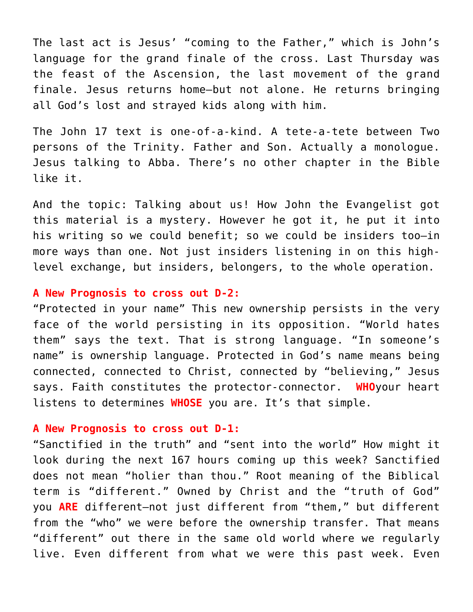The last act is Jesus' "coming to the Father," which is John's language for the grand finale of the cross. Last Thursday was the feast of the Ascension, the last movement of the grand finale. Jesus returns home–but not alone. He returns bringing all God's lost and strayed kids along with him.

The John 17 text is one-of-a-kind. A tete-a-tete between Two persons of the Trinity. Father and Son. Actually a monologue. Jesus talking to Abba. There's no other chapter in the Bible like it.

And the topic: Talking about us! How John the Evangelist got this material is a mystery. However he got it, he put it into his writing so we could benefit; so we could be insiders too–in more ways than one. Not just insiders listening in on this highlevel exchange, but insiders, belongers, to the whole operation.

# **A New Prognosis to cross out D-2:**

"Protected in your name" This new ownership persists in the very face of the world persisting in its opposition. "World hates them" says the text. That is strong language. "In someone's name" is ownership language. Protected in God's name means being connected, connected to Christ, connected by "believing," Jesus says. Faith constitutes the protector-connector. **WHO**your heart listens to determines **WHOSE** you are. It's that simple.

# **A New Prognosis to cross out D-1:**

"Sanctified in the truth" and "sent into the world" How might it look during the next 167 hours coming up this week? Sanctified does not mean "holier than thou." Root meaning of the Biblical term is "different." Owned by Christ and the "truth of God" you **ARE** different–not just different from "them," but different from the "who" we were before the ownership transfer. That means "different" out there in the same old world where we regularly live. Even different from what we were this past week. Even